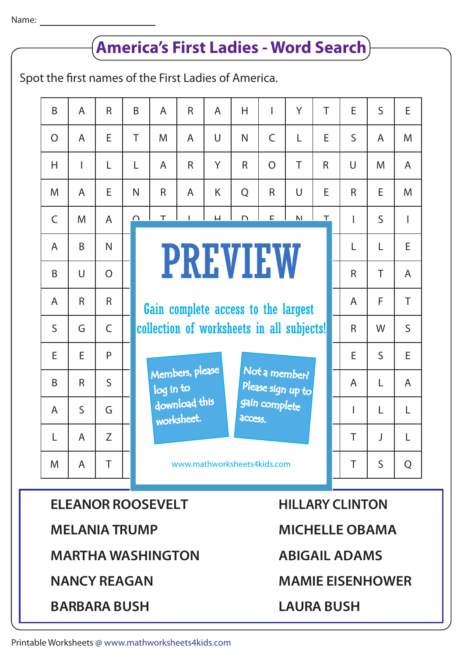## B  $\Omega$ B  $\mathsf{C}$ A A M H S E B A L M A A  $\cup$ M R B A I G E R S A A R E  $\Omega$ A R N E L  $\mathsf{C}$ P  $\varsigma$ G Z T B T B  $\cap$ I C N L collection of worksheets in all subjects! N A N C Y A M A  $\top$ Gain complete access to the largest H R A R  $\overline{H}$  $C$ <sup>L</sup> R A F L B A R S u<br>U www.mathworksheets4kids<mark>.com</mark> A  $\cup$ E  $\mathbf{H}$ M K Y N L Y  $\mathbf{L}$ N H  $\cup$ T O Please sign up to gain complete<br>-T E Q  $\top$ R E E R S T A R R E S R I A  $\mathbf{L}$ R  $\cup$ R E A I T T S A T S F  $\mathbf{L}$ E M W  $\varsigma$  $\mathbf{L}$  $\mathbf{L}$ J S E M A I T E M A S E A  $\mathbf{L}$ L Q H N Z  $\overline{D}$ I Q R A L I  $\mathsf{C}$ G E **PREVIEW** R O R N Spot the first names of the First Ladies of America. **MICHELLE OBAMA HILLARY CLINTON LAURA BUSH ABIGAIL ADAMS MAMIE EISENHOWER MELANIA TRUMP MARTHA WASHINGTON ELEANOR ROOSEVELT BARBARA BUSH NANCY REAGAN America's First Ladies - Word Search** Members, please download this <sub>worksheet.</sub> log in to Not a member? **access**